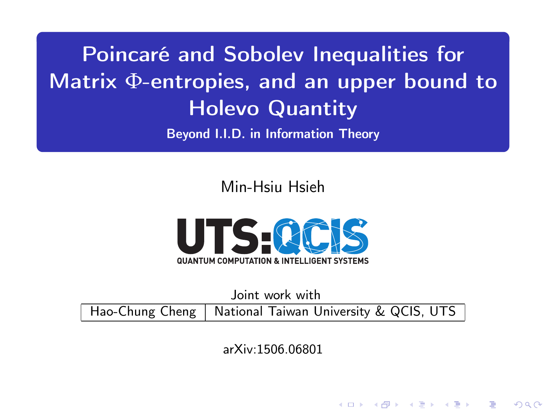<span id="page-0-0"></span>Poincaré and Sobolev Inequalities for Matrix Φ-entropies, and an upper bound to Holevo Quantity

Beyond I.I.D. in Information Theory

Min-Hsiu Hsieh



Joint work with

Hao-Chung Cheng | National Taiwan University & QCIS, UTS

arXiv:1506.06801

K ロ ▶ (K@) ▶ (K 글 ) / K 글 ) │ 글

 $299$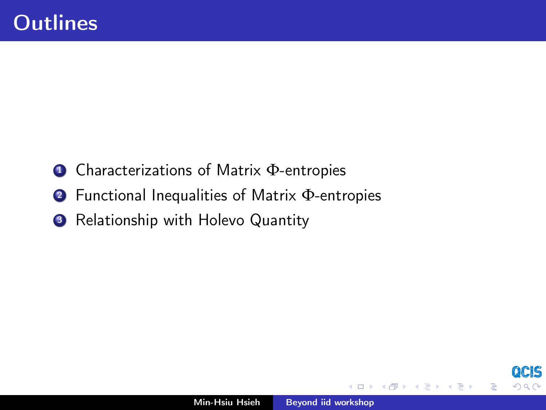- <sup>1</sup> Characterizations of Matrix Φ-entropies
- <sup>2</sup> Functional Inequalities of Matrix Φ-entropies
- **3** Relationship with Holevo Quantity

 $\leftarrow$ 

石  $\sim$ ×.  $\equiv$ 

つへへ

≣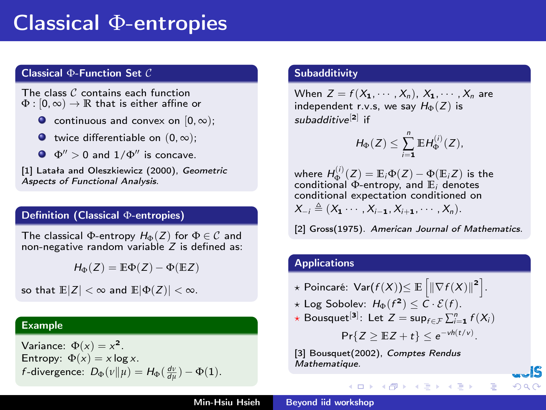## Classical Φ-entropies

### Classical Φ-Function Set C

The class C contains each function  $\Phi : [0, \infty) \to \mathbb{R}$  that is either affine or

- $\bullet$  continuous and convex on  $[0, \infty)$ ;
- $\bullet$  twice differentiable on  $(0, \infty)$ :
- $\Phi'' > 0$  and  $1/\Phi''$  is concave.

[1] Latała and Oleszkiewicz (2000), Geometric Aspects of Functional Analysis.

### Definition (Classical Φ-entropies)

The classical  $\Phi$ -entropy  $H_{\Phi}(Z)$  for  $\Phi \in \mathcal{C}$  and non-negative random variable  $Z$  is defined as:

 $H_{\Phi}(Z) = \mathbb{E}\Phi(Z) - \Phi(\mathbb{E}Z)$ 

so that  $\mathbb{E}|Z| < \infty$  and  $\mathbb{E}|\Phi(Z)| < \infty$ .

### Example

Variance:  $\Phi(x) = x^2$ . Entropy:  $\Phi(x) = x \log x$ . f-divergence:  $D_{\Phi}(v||\mu) = H_{\Phi}(\frac{dv}{d\mu}) - \Phi(1)$ .

### **Subadditivity**

When  $Z = f(X_1, \dots, X_n)$ ,  $X_1, \dots, X_n$  are independent r.v.s, we say  $H_{\Phi}(Z)$  is subadditive<sup>[2]</sup> if

$$
H_{\Phi}(Z) \leq \sum_{i=1}^n \mathbb{E} H_{\Phi}^{(i)}(Z),
$$

where  $H^{(i)}_{\Phi}(Z) = \mathbb{E}_{i} \Phi(Z) - \Phi(\mathbb{E}_{i} Z)$  is the conditional  $\Phi$ -entropy, and  $\mathbb{E}_i$  denotes conditional expectation conditioned on  $X_{-i} \triangleq (X_1 \cdots X_{i-1}, X_{i+1}, \cdots, X_n).$ 

[2] Gross(1975). American Journal of Mathematics.

### Applications

- $\star$  Poincaré:  $\text{Var}(f(X))$ ≤  $\mathbb{E} \left[ \left\| \nabla f(X) \right\|^2 \right].$
- $\star$  Log Sobolev:  $H_{\Phi}(f^2) \leq C \cdot \mathcal{E}(f)$ .
- $\star$  Bousquet<sup>[3]</sup>: Let  $Z = \sup_{f \in \mathcal{F}} \sum_{i=1}^{n} f(X_i)$

$$
\Pr\{Z \geq \mathbb{E}Z + t\} \leq e^{-\nu h(t/\nu)}.
$$

イロメ イ母メ イヨメ イヨメー

へのへ

[3] Bousquet(2002), Comptes Rendus Mathematique.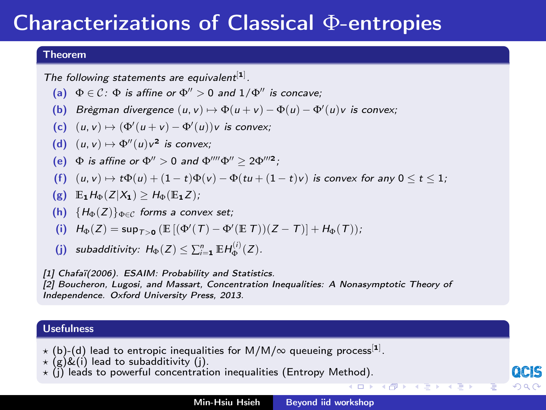## Characterizations of Classical Φ-entropies

### Theorem

The following statements are equivalent $[1]$ .

- (a)  $\Phi \in \mathcal{C}$ :  $\Phi$  is affine or  $\Phi'' > 0$  and  $1/\Phi''$  is concave:
- (b) Brègman divergence  $(u, v) \mapsto \Phi(u + v) \Phi(u) \Phi'(u)v$  is convex;
- (c)  $(u, v) \mapsto (\Phi'(u + v) \Phi'(u))v$  is convex;
- (d)  $(u, v) \mapsto \Phi''(u)v^2$  is convex;
- (e)  $\Phi$  is affine or  $\Phi'' > 0$  and  $\Phi'''' \Phi'' \geq 2 \Phi'''^2$ ;
- (f)  $(u, v) \mapsto t\Phi(u) + (1 t)\Phi(v) \Phi(tu + (1 t)v)$  is convex for any  $0 \le t \le 1$ ;
- (g)  $\mathbb{E}_1 H_{\Phi}(Z|X_1) > H_{\Phi}(\mathbb{E}_1 Z)$ ;
- (h)  ${H_{\Phi}(Z)}_{\Phi \in \mathcal{C}}$  forms a convex set;
- (i)  $H_{\Phi}(Z) = \sup_{T>0} (\mathbb{E} [(\Phi'(T) \Phi'(E T))(Z T)] + H_{\Phi}(T));$
- (j) subadditivity:  $H_{\Phi}(Z) \leq \sum_{i=1}^{n} \mathbb{E} H_{\Phi}^{(i)}(Z)$ .

[1] Chafaï(2006). ESAIM: Probability and Statistics. [2] Boucheron, Lugosi, and Massart, Concentration Inequalities: A Nonasymptotic Theory of Independence. Oxford University Press, 2013.

#### Usefulness

- $\star$  (b)-(d) lead to entropic inequalities for M/M/ $\infty$  queueing process $^{[1]}$ .
- $\star$  (g)&(i) lead to subadditivity (i).
- $\star$  (j) leads to powerful concentration inequalities (Entropy Method).

**K ロ ト K 母 ト K** 

へのへ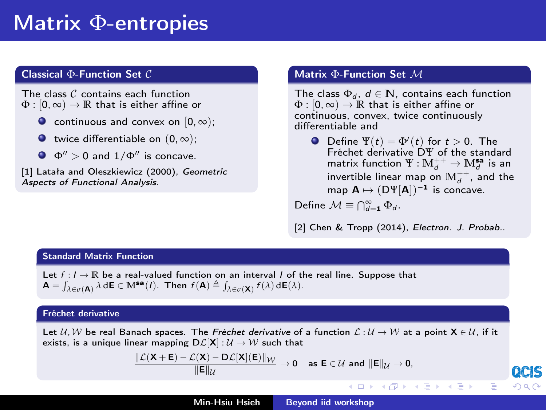## Matrix Φ-entropies

### Classical Φ-Function Set C

The class C contains each function  $\Phi : [0, \infty) \to \mathbb{R}$  that is either affine or

- $\bullet$  continuous and convex on  $[0, \infty)$ :
- $\bullet$  twice differentiable on  $(0, \infty)$ ;
- $\Phi$ <sup>n</sup>  $> 0$  and  $1/\Phi$ <sup>n</sup> is concave

[1] Latała and Oleszkiewicz (2000), Geometric Aspects of Functional Analysis.

#### Matrix Φ-Function Set M

The class  $\Phi_d$ ,  $d \in \mathbb{N}$ , contains each function  $\Phi : [0, \infty) \to \mathbb{R}$  that is either affine or continuous, convex, twice continuously differentiable and

Define  $\Psi(t) = \Phi'(t)$  for  $t > 0$ . The Fréchet derivative DΨ of the standard matrix function  $\Psi : \mathbb{M}_d^{++} \to \mathbb{M}_d^{\mathsf{sa}}$  is an invertible linear map on  $\mathbb{M}_d^{++}$ , and the map  $A \mapsto (D\Psi[A])^{-1}$  is concave.

Define  $\mathcal{M} \equiv \bigcap_{d=1}^{\infty} \Phi_d$ .

[2] Chen & Tropp (2014), Electron. J. Probab..

÷

へのへ

### Standard Matrix Function

Let  $f: I \to \mathbb{R}$  be a real-valued function on an interval *I* of the real line. Suppose that  $\mathbf{A} = \int_{\lambda \in \sigma(\mathbf{A})} \lambda \, d\mathbf{E} \in \mathbb{M}^{\mathbf{sa}}(I)$ . Then  $f(\mathbf{A}) \triangleq \int_{\lambda \in \sigma(\mathbf{X})} f(\lambda) \, d\mathbf{E}(\lambda)$ .

#### Fréchet derivative

Let  $U, W$  be real Banach spaces. The Fréchet derivative of a function  $\mathcal{L}: U \to W$  at a point  $X \in U$ , if it exists, is a unique linear mapping  $D\mathcal{L}[X]: \mathcal{U} \to \mathcal{W}$  such that

$$
\frac{\|\mathcal{L}(\mathbf{X} + \mathbf{E}) - \mathcal{L}(\mathbf{X}) - \mathsf{D}\mathcal{L}[\mathbf{X}](\mathbf{E})\|_{\mathcal{W}}}{\|\mathbf{E}\|_{\mathcal{U}}} \to 0 \quad \text{as } \mathbf{E} \in \mathcal{U} \text{ and } \|\mathbf{E}\|_{\mathcal{U}} \to 0,
$$

Min-Hsiu Hsieh [Beyond iid workshop](#page-0-0)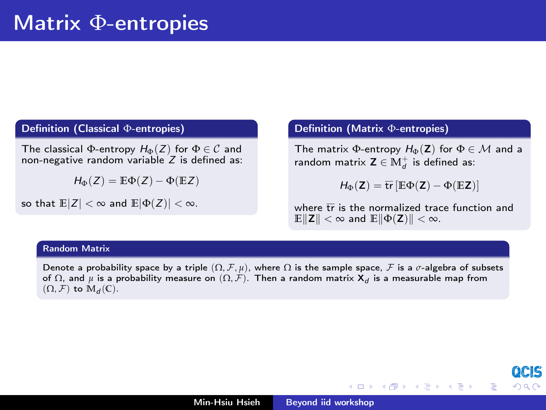### Definition (Classical Φ-entropies)

The classical Φ-entropy  $H_{\Phi}(Z)$  for  $\Phi \in \mathcal{C}$  and non-negative random variable  $Z$  is defined as:

 $H_{\Phi}(Z) = \mathbb{E}\Phi(Z) - \Phi(\mathbb{E}Z)$ 

so that  $\mathbb{E}|Z| < \infty$  and  $\mathbb{E}|\Phi(Z)| < \infty$ .

### Definition (Matrix Φ-entropies)

The matrix  $\Phi$ -entropy  $H_{\Phi}(\mathbf{Z})$  for  $\Phi \in \mathcal{M}$  and a random matrix  $\mathsf{Z}\in \mathbb{M}_d^+$  is defined as:

$$
\textit{H}_{\Phi}(\textbf{Z}) = \overline{\text{tr}}\left[\mathbb{E} \Phi(\textbf{Z}) - \Phi(\mathbb{E} \textbf{Z})\right]
$$

where  $\overline{tr}$  is the normalized trace function and  $\mathbb{E}\|\mathbf{Z}\| < \infty$  and  $\mathbb{E}\|\Phi(\mathbf{Z})\| < \infty$ .

メロト メタト メミト メミト

へのへ

### Random Matrix

Denote a probability space by a triple  $(\Omega, \mathcal{F}, \mu)$ , where  $\Omega$  is the sample space,  $\mathcal{F}$  is a  $\sigma$ -algebra of subsets of  $\Omega$ , and  $\mu$  is a probability measure on  $(\Omega,\mathcal{F}).$  Then a random matrix  $\mathsf{X}_d$  is a measurable map from  $(\Omega, \mathcal{F})$  to  $\mathbb{M}_d(\mathbb{C})$ .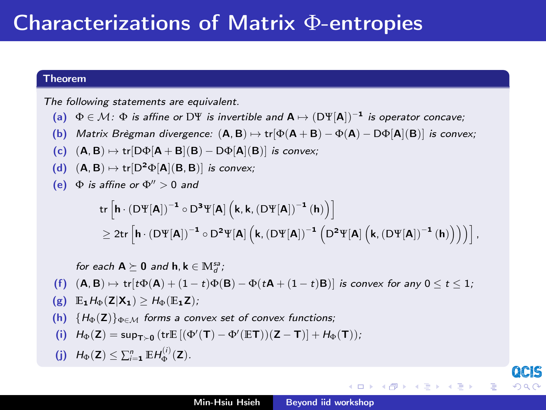### Theorem

The following statements are equivalent.

- (a)  $\Phi \in \mathcal{M}$ :  $\Phi$  is affine or D\{peq is invertible and  $A \mapsto (D\Psi[A])^{-1}$  is operator concave;
- (b) Matrix Brègman divergence:  $(A, B) \mapsto \text{tr}[\Phi(A + B) \Phi(A) D\Phi[A](B)]$  is convex;
- (c)  $(A, B) \mapsto \text{tr}[D\Phi[A + B](B) D\Phi[A](B)]$  is convex;
- (d)  $(A, B) \mapsto \text{tr}[D^2\Phi[A](B, B)]$  is convex;
- (e)  $\Phi$  is affine or  $\Phi'' > 0$  and

$$
\begin{aligned} & \left. \text{tr}\left[h\cdot(D\Psi[A])^{-1}\circ D^3\Psi[A]\left(k,k,(D\Psi[A])^{-1}\left(h\right)\right)\right] \right. \\ & \left. \geq 2\text{tr}\left[h\cdot(D\Psi[A])^{-1}\circ D^2\Psi[A]\left(k,(D\Psi[A])^{-1}\left(D^2\Psi[A]\left(k,(D\Psi[A])^{-1}\left(h\right)\right)\right)\right)\right], \end{aligned}
$$

for each 
$$
A \ge 0
$$
 and  $h, k \in \mathbb{M}_d^3$ ;  
\n(f)  $(A, B) \mapsto \text{tr}[\text{t}\Phi(A) + (1 - t)\Phi(B) - \Phi(tA + (1 - t)B)]$  is convex for any  $0 \le t \le 1$ ;  
\n(g)  $E_1 H_0(Z|X_1) \ge H_0(E_1Z)$ ;  
\n(h)  $\{H_0(Z)\}_{0 \in \mathcal{M}}$  forms a convex set of convex functions;  
\n(i)  $H_0(Z) = \sup_{T \ge 0} (\text{tr}E[(\Phi'(T) - \Phi'(ET))(Z - T)] + H_0(T));$   
\n(j)  $H_0(Z) \le \sum_{i=1}^n E H_0^{(i)}(Z)$ .

QCIS

 $290$ 

キロメ オ御き オミメ オミメ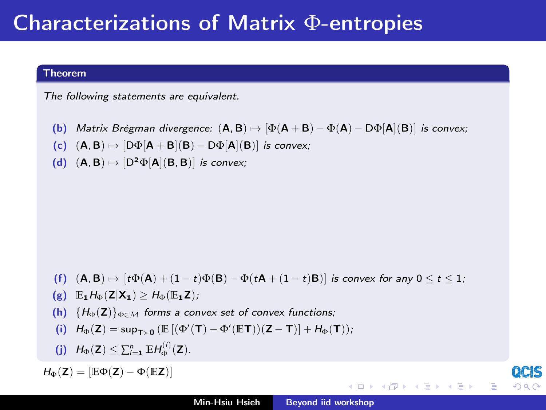## Characterizations of Matrix Φ-entropies

### Theorem

The following statements are equivalent.

- (b) Matrix Brègman divergence:  $(A, B) \mapsto [\Phi(A + B) \Phi(A) D\Phi[A](B)]$  is convex;
- (c)  $(A, B) \mapsto [D\Phi[A + B](B) D\Phi[A](B)]$  is convex;
- (d)  $(A, B) \mapsto [D^2\Phi[A](B, B)]$  is convex;

(f) 
$$
(A, B) \mapsto [t\Phi(A) + (1-t)\Phi(B) - \Phi(tA + (1-t)B)]
$$
 is convex for any  $0 \le t \le 1$ ;

$$
(g) \quad \mathbb{E}_{\mathbf{1}} H_{\Phi}(\mathbf{Z}|\mathbf{X}_{\mathbf{1}}) \geq H_{\Phi}(\mathbb{E}_{\mathbf{1}}\mathbf{Z});
$$

(h)  ${H_{\Phi}(Z)}_{\Phi \in \mathcal{M}}$  forms a convex set of convex functions;

$$
\text{(i)} \quad H_\Phi(\textbf{Z}) = \mathsf{sup}_{\textbf{T} \succ \textbf{0}} \left( \mathbb{E} \left[ (\Phi'(\textbf{T}) - \Phi'(\mathbb{E} \textbf{T}))(\textbf{Z} - \textbf{T}) \right] + H_\Phi(\textbf{T}) \right);
$$

(j)  $H_{\Phi}(\mathbf{Z}) \leq \sum_{i=1}^{n} \mathbb{E} H_{\Phi}^{(i)}(\mathbf{Z}).$ 

 $H_{\Phi}(\mathbf{Z}) = [\mathbb{E} \Phi(\mathbf{Z}) - \Phi(\mathbb{E} \mathbf{Z})]$ 

イロト イ御 ト イヨ ト イヨ トー

 $290$ 

目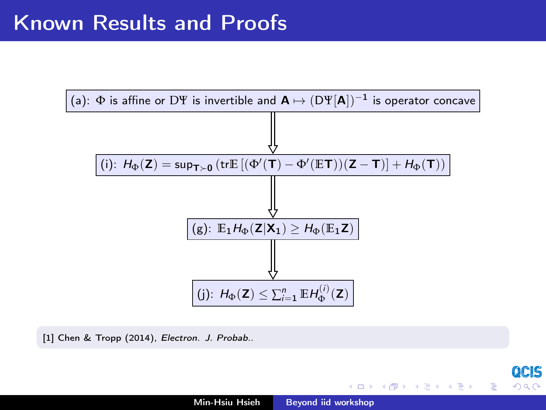

[1] Chen & Tropp (2014), Electron. J. Probab..

QCIS

 $290$ 

隱

キロメ オ御き オミメ オミメ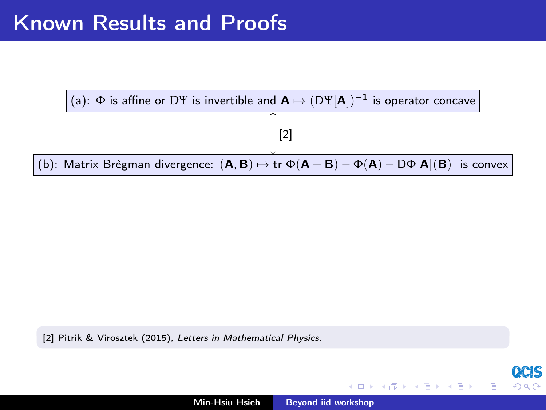

[2] Pitrik & Virosztek (2015), Letters in Mathematical Physics.

ocis

つくい

す ランド モンド

す 草 下

 $\blacksquare$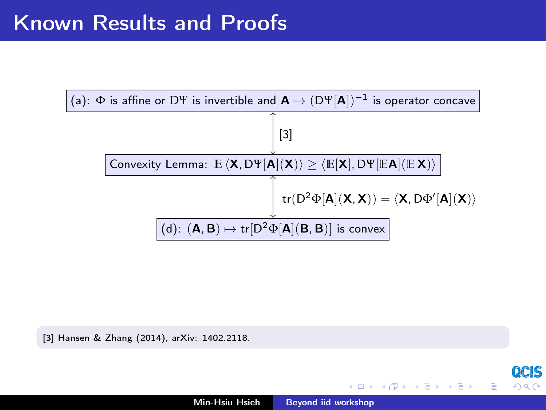

[3] Hansen & Zhang (2014), arXiv: 1402.2118.

OCIS

つくい

→ 御 ▶ → 唐 ▶ → 唐 ▶

 $-1 - 1$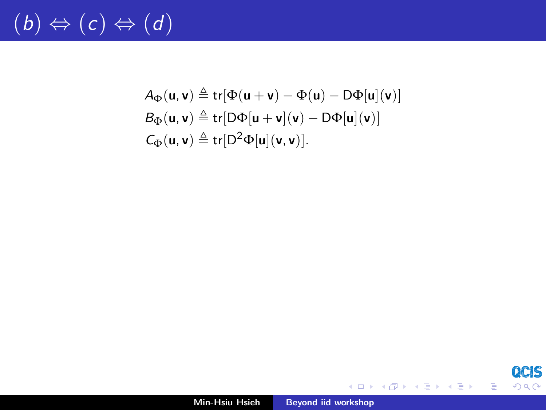# $(b) \Leftrightarrow (c) \Leftrightarrow (d)$

$$
A_{\Phi}(\mathbf{u}, \mathbf{v}) \triangleq \text{tr}[\Phi(\mathbf{u} + \mathbf{v}) - \Phi(\mathbf{u}) - D\Phi[\mathbf{u}](\mathbf{v})]
$$
  
\n
$$
B_{\Phi}(\mathbf{u}, \mathbf{v}) \triangleq \text{tr}[D\Phi[\mathbf{u} + \mathbf{v}](\mathbf{v}) - D\Phi[\mathbf{u}](\mathbf{v})]
$$
  
\n
$$
C_{\Phi}(\mathbf{u}, \mathbf{v}) \triangleq \text{tr}[D^2\Phi[\mathbf{u}](\mathbf{v}, \mathbf{v})].
$$

QCIS  $299$ 

重

メロト メタト メミト メミトー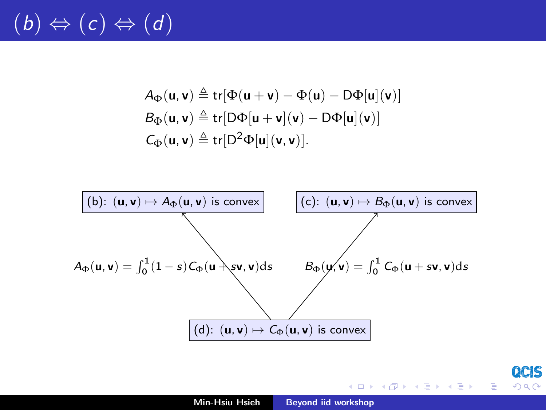# $(b) \Leftrightarrow (c) \Leftrightarrow (d)$

$$
A_{\Phi}(\mathbf{u}, \mathbf{v}) \triangleq \text{tr}[\Phi(\mathbf{u} + \mathbf{v}) - \Phi(\mathbf{u}) - D\Phi[\mathbf{u}](\mathbf{v})]
$$
  
\n
$$
B_{\Phi}(\mathbf{u}, \mathbf{v}) \triangleq \text{tr}[D\Phi[\mathbf{u} + \mathbf{v}](\mathbf{v}) - D\Phi[\mathbf{u}](\mathbf{v})]
$$
  
\n
$$
C_{\Phi}(\mathbf{u}, \mathbf{v}) \triangleq \text{tr}[D^2\Phi[\mathbf{u}](\mathbf{v}, \mathbf{v})].
$$



QCIS

 $290$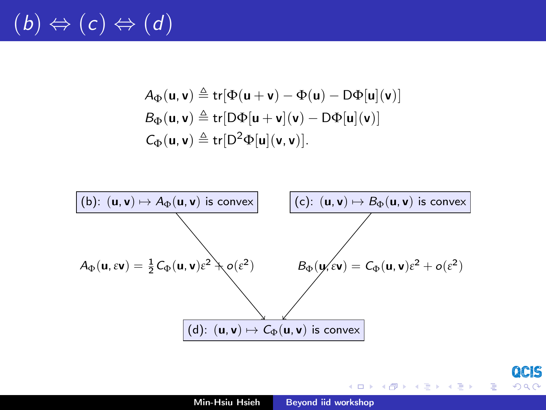# $(b) \Leftrightarrow (c) \Leftrightarrow (d)$

$$
A_{\Phi}(\mathbf{u}, \mathbf{v}) \triangleq \text{tr}[\Phi(\mathbf{u} + \mathbf{v}) - \Phi(\mathbf{u}) - D\Phi[\mathbf{u}](\mathbf{v})]
$$
  
\n
$$
B_{\Phi}(\mathbf{u}, \mathbf{v}) \triangleq \text{tr}[D\Phi[\mathbf{u} + \mathbf{v}](\mathbf{v}) - D\Phi[\mathbf{u}](\mathbf{v})]
$$
  
\n
$$
C_{\Phi}(\mathbf{u}, \mathbf{v}) \triangleq \text{tr}[D^2\Phi[\mathbf{u}](\mathbf{v}, \mathbf{v})].
$$



QCIS

 $290$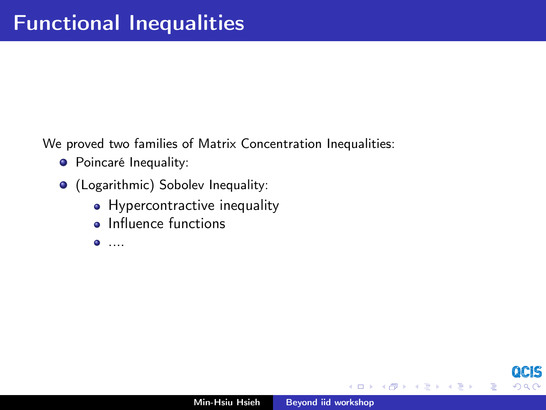We proved two families of Matrix Concentration Inequalities:

- **•** Poincaré Inequality:
- (Logarithmic) Sobolev Inequality:
	- Hypercontractive inequality
	- **o** Influence functions
	- $\bullet$  ....

K 御 ▶ | K 唐 ▶ | K 唐 ▶

 $\leftarrow$ 

 $\Omega$ 

≣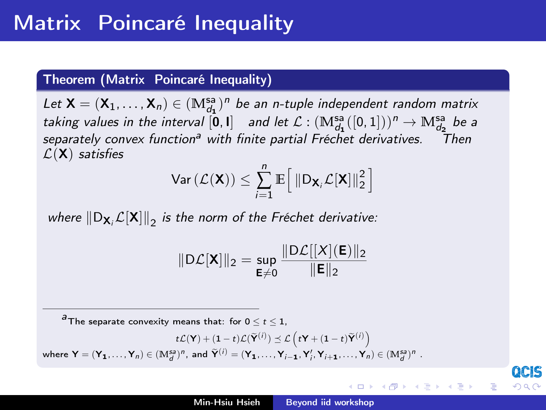### Theorem (Matrix Poincaré Inequality)

Let  $X = (X_1, \ldots, X_n) \in (\mathbb{M}_{d_1}^{sa})^n$  be an n-tuple independent random matrix taking values in the interval  $[0,1]$  and let  $\mathcal{L} : (\mathbb{M}^{sa}_{d_1}([0,1]))^n \to \mathbb{M}^{sa}_{d_2}$  be a separately convex function<sup>a</sup> with finite partial Fréchet derivatives. Then  $\mathcal{L}(\mathsf{X})$  satisfies

$$
\text{Var}\left(\mathcal{L}(\mathbf{X})\right) \leq \sum_{i=1}^{n} \mathbb{E}\Big[\left\|D_{\mathbf{X}_i}\mathcal{L}[\mathbf{X}]\right\|_2^2\Big]
$$

where  $\left\| \mathsf{D}_{\mathsf{X}_i}\mathcal{L}[\mathsf{X}] \right\|_2$  is the norm of the Fréchet derivative:

$$
\|\mathsf{D}\mathcal{L}[\mathbf{X}]\|_2 = \sup_{\mathsf{E}\neq 0} \frac{\|\mathsf{D}\mathcal{L}[[X](\mathsf{E})\|_2}{\|\mathsf{E}\|_2}
$$

 $a<sup>3</sup>$ The separate convexity means that: for  $0 \le t \le 1$ .

$$
t\mathcal{L}(\mathbf{Y}) + (1-t)\mathcal{L}(\widetilde{\mathbf{Y}}^{(i)}) \preceq \mathcal{L} \left(t\mathbf{Y} + (1-t)\widetilde{\mathbf{Y}}^{(i)}\right)
$$
  
where  $\mathbf{Y} = (\mathbf{Y}_1, ..., \mathbf{Y}_n) \in (\mathbb{M}_d^{s_2})^n$ , and  $\widetilde{\mathbf{Y}}^{(i)} = (\mathbf{Y}_1, ..., \mathbf{Y}_{i-1}, \mathbf{Y}'_i, \mathbf{Y}_{i+1}, ..., \mathbf{Y}_n) \in (\mathbb{M}_d^{s_2})^n$ .

4 m + 4 m + 4 m +

E K

へのへ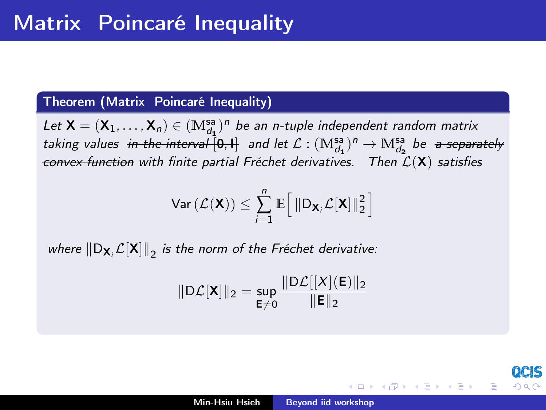## Theorem (Matrix Poincaré Inequality)

Let  $\textsf{X}=(\textsf{X}_1,\ldots,\textsf{X}_n)\in (\mathbb{M}^{\mathsf{sa}}_{d_1})^n$  be an n-tuple independent random matrix taking values in the interval  $[0,1]$  and let  $\mathcal{L} : (\mathbb{M}_{d_1}^{sa})^n \to \mathbb{M}_{d_2}^{sa}$  be a separately convex function with finite partial Fréchet derivatives. Then  $\mathcal{L}(\mathbf{X})$  satisfies

$$
\text{Var}\left(\mathcal{L}(\mathbf{X})\right) \leq \sum_{i=1}^{n} \mathbb{E}\Big[\left\|D_{\mathbf{X}_i}\mathcal{L}[\mathbf{X}]\right\|_2^2\Big]
$$

where  $\left\| \mathsf{D}_{\mathbf{X}_i}\mathcal{L}[\mathbf{X}]\right\|_2$  is the norm of the Fréchet derivative:

$$
\|\mathsf{D}\mathcal{L}[\mathbf{X}]\|_2 = \sup_{\mathsf{E}\neq 0} \frac{\|\mathsf{D}\mathcal{L}[[X](\mathsf{E})\|_2}{\|\mathsf{E}\|_2}
$$

K ロ ▶ K 御 ▶ K 君 ▶ K 君 ▶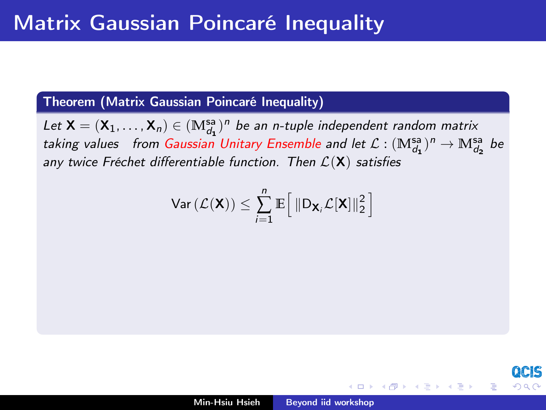## Theorem (Matrix Gaussian Poincaré Inequality)

Let  $\mathsf{X}=(\mathsf{X}_1,\ldots,\mathsf{X}_n)\in (\mathbb{M}^{\mathsf{sa}}_{d_1})^n$  be an n-tuple independent random matrix taking values from Gaussian Unitary Ensemble and let  $\mathcal{L} : (\mathbb{M}^{sa}_{d_1})^n \to \mathbb{M}^{sa}_{d_2}$  be any twice Fréchet differentiable function. Then  $\mathcal{L}(\mathsf{X})$  satisfies

$$
\text{Var}\left(\mathcal{L}(\mathbf{X})\right) \leq \sum_{i=1}^{n} \mathbb{E}\Big[\left\|D_{\mathbf{X}_i}\mathcal{L}[\mathbf{X}]\right\|_2^2\Big]
$$

 $\mathbf{A} \oplus \mathbf{B}$   $\mathbf{A} \oplus \mathbf{B}$ 

へのへ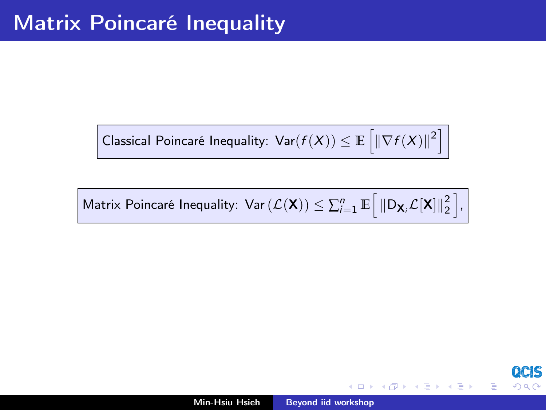Classical Poincaré Inequality:  $\text{Var}(f(X)) \leq \mathbb{E}\left[\left\|\nabla f(X)\right\|^2\right]$ 

Matrix Poincaré Inequality:  $\text{Var}(\mathcal{L}(\mathbf{X})) \leq \sum_{i=1}^{n} \mathbb{E} \Big[ \left\| \mathsf{D}_{\mathbf{X}_i} \mathcal{L}[\mathbf{X}] \right\|_2^2 \Big],$ 

メタメ メミメ メミメ

へのへ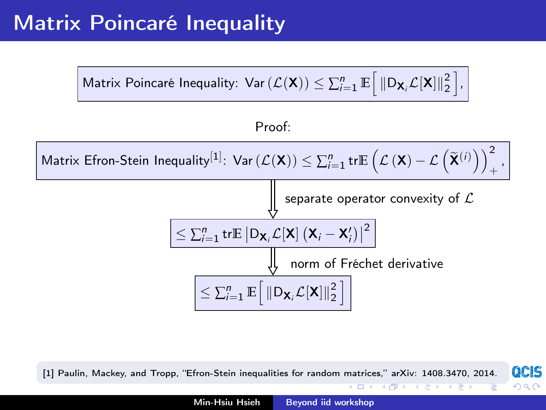## Matrix Poincaré Inequality



Proof:

 $\textsf{Matrix}\ \textsf{E}$ fron-Stein Inequality $^{[1]}\colon \textsf{Var}\,(\mathcal{L}(\mathbf{X}))\leq \sum_{i=1}^n \textsf{tr}\mathbb{E}\left(\mathcal{L}\left(\mathbf{X}\right)-\mathcal{L}\left(\widetilde{\mathbf{X}}^{(i)}\right)\right)_+^2$ + ,



QCIS [1] Paulin, Mackey, and Tropp, "Efron-Stein inequalities for random matrices," arXiv: 1408.3470, 2014.

イロン イ母ン イヨン イヨン

 $290$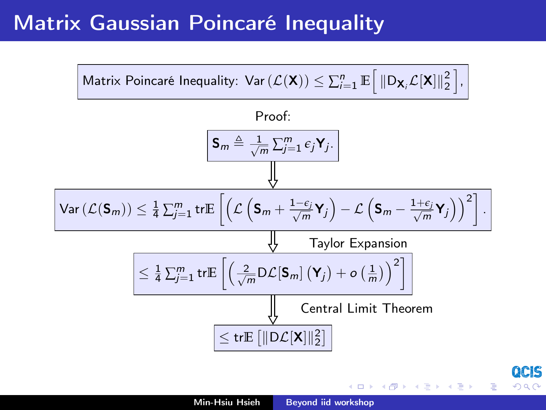## Matrix Gaussian Poincaré Inequality



∽ດເ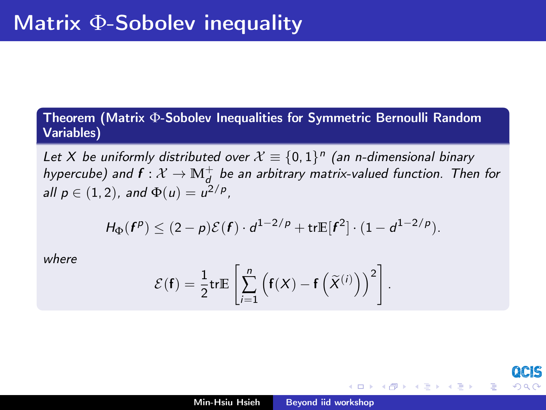## Theorem (Matrix Φ-Sobolev Inequalities for Symmetric Bernoulli Random Variables)

Let X be uniformly distributed over  $X \equiv \{0,1\}^n$  (an n-dimensional binary hypercube) and  $f: \mathcal{X} \to \mathbb{M}^+_d$  be an arbitrary matrix-valued function. Then for all  $p \in (1, 2)$ , and  $\Phi(u) = u^{2/p}$ ,

$$
H_\Phi(\boldsymbol{f^p}) \leq (2-\rho)\mathcal{E}(\boldsymbol{f}) \cdot d^{1-2/\rho} + \mathrm{tr}\mathbb{E}[\boldsymbol{f}^2] \cdot (1-d^{1-2/\rho}).
$$

where

$$
\mathcal{E}(\mathbf{f}) = \frac{1}{2} \text{tr} \mathbb{E} \left[ \sum_{i=1}^{n} \left( \mathbf{f}(X) - \mathbf{f} \left( \widetilde{X}^{(i)} \right) \right)^{2} \right].
$$

→ 伊 ▶ → 君 ▶ → 君 ▶

∽≏ດ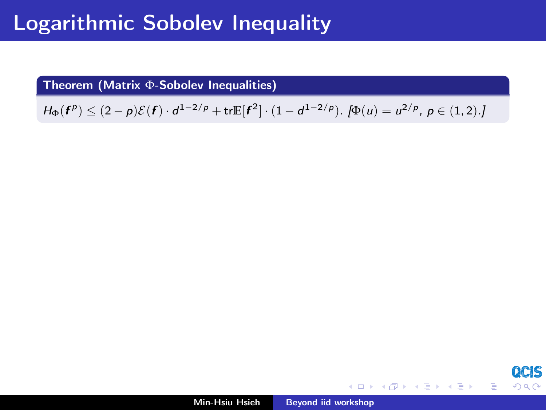## Logarithmic Sobolev Inequality

Theorem (Matrix Φ-Sobolev Inequalities)

 $H_{\Phi}(\boldsymbol{f}^p) \leq (2-p)\mathcal{E}(\boldsymbol{f}) \cdot d^{1-2/p} + \text{tr}\mathbb{E}[\boldsymbol{f}^2] \cdot (1-d^{1-2/p})$ .  $[\Phi(u) = u^{2/p}, p \in (1,2)$ .]

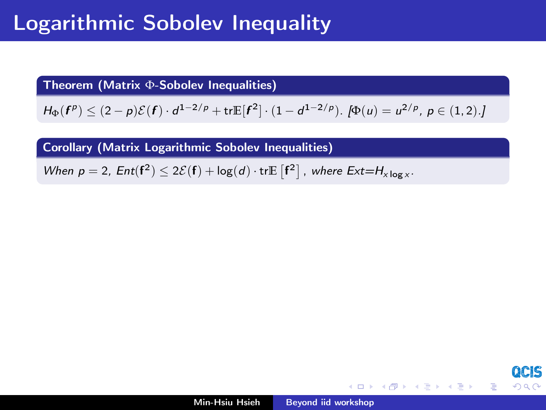## Logarithmic Sobolev Inequality

Theorem (Matrix Φ-Sobolev Inequalities)

 $H_{\Phi}(\boldsymbol{f}^p) \leq (2-p)\mathcal{E}(\boldsymbol{f}) \cdot d^{1-2/p} + \text{tr}\mathbb{E}[\boldsymbol{f}^2] \cdot (1-d^{1-2/p})$ .  $[\Phi(u) = u^{2/p}, p \in (1,2)$ .]

Corollary (Matrix Logarithmic Sobolev Inequalities)

When  $p = 2$ ,  $Ent(f^2) \leq 2\mathcal{E}(f) + log(d) \cdot trE[f^2]$ , where  $Ext=H_{x \log x}$ .

イロメ イ母メ イヨメ イヨメー

つへへ

目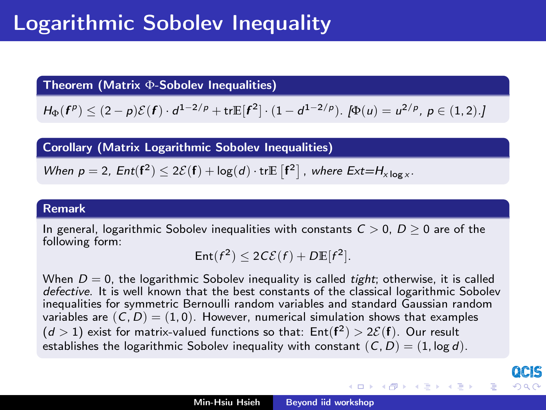## Logarithmic Sobolev Inequality

Theorem (Matrix Φ-Sobolev Inequalities)

 $H_{\Phi}(\boldsymbol{f}^p) \leq (2-p)\mathcal{E}(\boldsymbol{f}) \cdot d^{1-2/p} + \text{tr}\mathbb{E}[\boldsymbol{f}^2] \cdot (1-d^{1-2/p})$ .  $[\Phi(u) = u^{2/p}, p \in (1,2)$ .]

Corollary (Matrix Logarithmic Sobolev Inequalities)

When 
$$
p = 2
$$
, Ent $(f^2) \le 2\mathcal{E}(f) + \log(d) \cdot \text{tr}E[f^2]$ , where Ext= $H_{x \log x}$ .

### Remark

In general, logarithmic Sobolev inequalities with constants  $C > 0$ ,  $D > 0$  are of the following form:

$$
Ent(f^2) \le 2C\mathcal{E}(f) + D \mathbb{E}[f^2].
$$

When  $D = 0$ , the logarithmic Sobolev inequality is called *tight*; otherwise, it is called defective. It is well known that the best constants of the classical logarithmic Sobolev inequalities for symmetric Bernoulli random variables and standard Gaussian random variables are  $(C, D) = (1, 0)$ . However, numerical simulation shows that examples  $(d > 1)$  exist for matrix-valued functions so that:  $Ent(f^2) > 2{\mathcal{E}}(f)$ . Our result establishes the logarithmic Sobolev inequality with constant  $(C, D) = (1, \log d)$ .

イロメ イ団メ イミメ イミメー

へのへ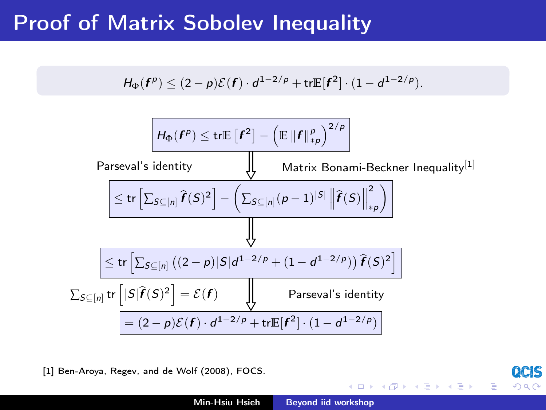## Proof of Matrix Sobolev Inequality

$$
H_{\Phi}(\mathbf{f}^p) \leq (2-p)\mathcal{E}(\mathbf{f}) \cdot d^{1-2/p} + \mathrm{tr} \mathbb{E}[\mathbf{f}^2] \cdot (1 - d^{1-2/p}).
$$

$$
\frac{H_{\Phi}(\mathbf{f}^{p}) \leq \text{tr}\mathbb{E}[\mathbf{f}^{2}] - (\mathbb{E}||\mathbf{f}||_{\ast\rho}^{2/p})}{\text{Parseval's identity}} \\ \frac{\left|\left|\left|\left|\left|\left|\left|\left|\mathbf{f}(S)\right|\right|\right|\right|\right|}{\text{Matrix Bonami-Beckner Inequality}^{[1]}}\right|\right|}{\left|\left|\left|\left|\mathbf{f}(S)\right|\right|\right|\right|} \\ \frac{\left|\left|\left|\left|\left|\sum_{S\subseteq[n]} \left((2-p)|S|d^{1-2/p} + (1-d^{1-2/p})\right)\widehat{\mathbf{f}}(S)^{2}\right|\right|\right|}{\left|\left|\left|\left|\left|\left|\sum_{S\subseteq[n]} \left((2-p)|S|d^{1-2/p} + (1-d^{1-2/p})\right)\widehat{\mathbf{f}}(S)^{2}\right|\right|\right|}{\text{Parseval's identity}} \\ \frac{\left|\left|\left|S\right|\widehat{\mathbf{f}}(S)^{2}\right| = \mathcal{E}(\mathbf{f})}{\left|\left|\left|\left|\left|\mathbf{f}(S)\right|\right|\right|\right|} \\ \frac{\left|\left|\left|\left|\left|\mathbf{f}(S)\right|\right|\right|}{\text{Parseval's identity}} \\ \frac{\left|\left|\left|\left|\left|\left|\mathbf{f}(S)\right|\right|\right|\right|}{\text{Parseval's identity}} \\ \frac{\left|\left|\left|\left|\left|\left|\mathbf{f}(S)\right|\right|\right|\right|}{\text{Proval's identity}}\right|}{\text{Proval's identity}}
$$

[1] Ben-Aroya, Regev, and de Wolf (2008), FOCS.

**QCIS** 

 $2Q$ 

重

キロメ オ御き オミメ オミメ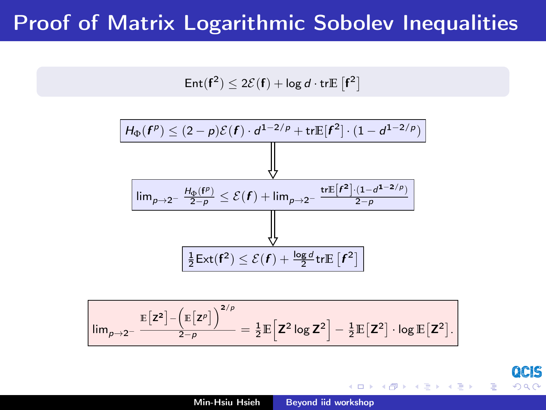## Proof of Matrix Logarithmic Sobolev Inequalities

$$
\mathsf{Ent}(\mathbf{f}^2) \leq 2\mathcal{E}(\mathbf{f}) + \log d \cdot \mathsf{tr} \mathbb{E}\left[\mathbf{f}^2\right]
$$



$$
\left|\text{lim}_{\rho\rightarrow 2^-}\frac{\mathbb{E}\big[z^2\big]-\Big(\mathbb{E}\big[z^\rho\big]\Big)^{2/\rho}}{2-\rho}=\tfrac{1}{2}\mathbb{E}\Big[Z^2\log Z^2\Big]-\tfrac{1}{2}\mathbb{E}\big[Z^2\big]\cdot\log\mathbb{E}\big[Z^2\big].
$$

→ 伊 ▶ → 君 ▶ → 君 ▶

つくい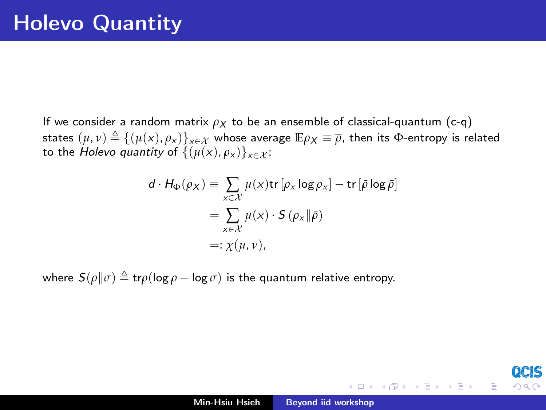If we consider a random matrix  $\rho_X$  to be an ensemble of classical-quantum (c-q) states  $(\mu, \nu) \triangleq {(\mu(x), \rho_x)}_{x \in \mathcal{X}}$  whose average  $\mathbb{E} \rho_X \equiv \overline{\rho}$ , then its  $\Phi$ -entropy is related to the *Holevo quantity* of  $\{(\mu(x), \rho_x)\}_{x \in \mathcal{X}}$ :

$$
d \cdot H_{\Phi}(\rho_X) \equiv \sum_{x \in \mathcal{X}} \mu(x) \text{tr} [\rho_x \log \rho_x] - \text{tr} [\bar{\rho} \log \bar{\rho}]
$$
  
= 
$$
\sum_{x \in \mathcal{X}} \mu(x) \cdot S(\rho_x || \bar{\rho})
$$
  
=: 
$$
\chi(\mu, \nu),
$$

where  $S(\rho||\sigma) \triangleq \text{tr}\rho(\log \rho - \log \sigma)$  is the quantum relative entropy.

 $4.171 +$ 

→ 御 ▶ → 唐 ▶ → 唐 ▶

つへへ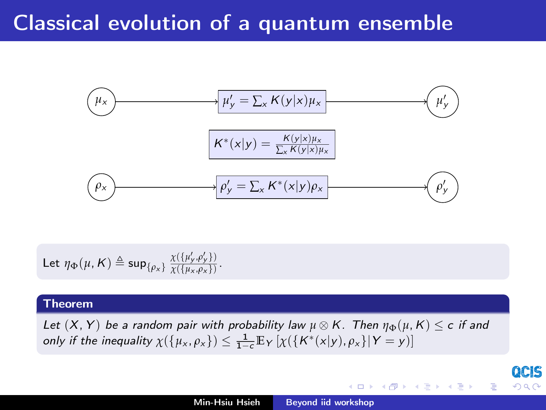## Classical evolution of a quantum ensemble



Let 
$$
\eta_{\Phi}(\mu, K) \triangleq \sup_{\{\rho_{x}\}} \frac{\chi(\{\mu'_{y}, \rho'_{y}\})}{\chi(\{\mu_{x}, \rho_{x}\})}
$$
.

### Theorem

Let  $(X, Y)$  be a random pair with probability law  $\mu \otimes K$ . Then  $\eta_{\Phi}(\mu, K) \leq c$  if and only if the inequality  $\chi(\{\mu_x, \rho_x\}) \leq \frac{1}{1-c} \mathbb{E}_Y \left[ \chi(\{\mathcal{K}^*(x|y), \rho_x\} | Y = y) \right]$ 

QCIS

 $290$ 

イロメ イ部メ イヨメ イヨメ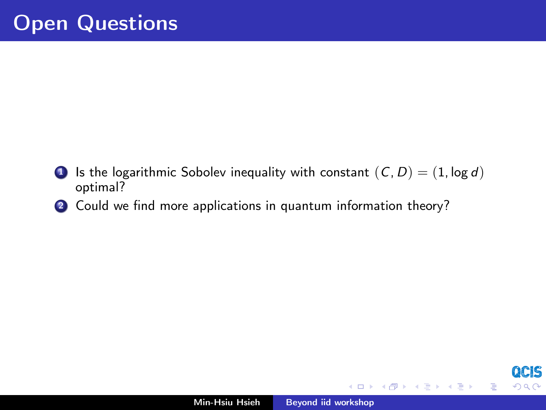- **1** Is the logarithmic Sobolev inequality with constant  $(C, D) = (1, \log d)$ optimal?
- 2 Could we find more applications in quantum information theory?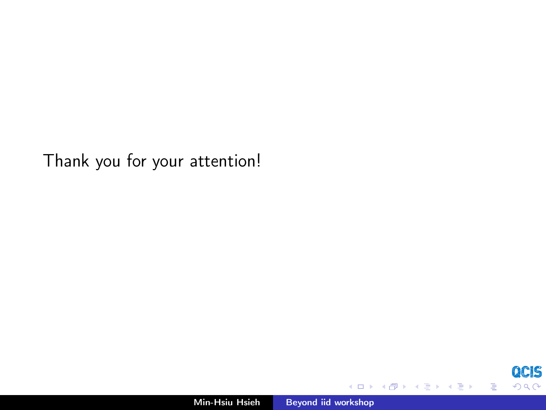Thank you for your attention!

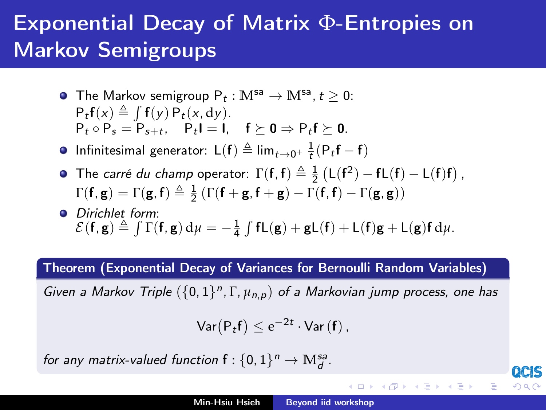# Exponential Decay of Matrix Φ-Entropies on Markov Semigroups

- The Markov semigroup  $P_t : M^{sa} \to M^{sa}, t \geq 0$ :  $P_t f(x) \triangleq \int f(y) P_t(x, dy).$  $P_t \circ P_s = P_{s+t}, \quad P_t I = I, \quad f \succeq 0 \Rightarrow P_t f \succeq 0.$
- Infinitesimal generator:  $\mathsf{L}(\mathbf{f}) \triangleq \lim_{t \to 0^+} \frac{1}{t} (\mathsf{P}_t \mathbf{f} \mathbf{f})$
- The *carré du champ* operator:  $\Gamma(f, f) \triangleq \frac{1}{2} (L(f^2) fL(f) L(f)f)$ ,  $\Gamma(\mathbf{f}, \mathbf{g}) = \Gamma(\mathbf{g}, \mathbf{f}) \triangleq \frac{1}{2} (\Gamma(\mathbf{f} + \mathbf{g}, \mathbf{f} + \mathbf{g}) - \Gamma(\mathbf{f}, \mathbf{f}) - \Gamma(\mathbf{g}, \mathbf{g}))$
- **•** Dirichlet form:  $\mathcal{E}(\mathbf{f}, \mathbf{g}) \triangleq \int \Gamma(\mathbf{f}, \mathbf{g}) d\mu = -\frac{1}{4} \int \mathbf{f} \mathsf{L}(\mathbf{g}) + \mathbf{g} \mathsf{L}(\mathbf{f}) + \mathsf{L}(\mathbf{f}) \mathbf{g} + \mathsf{L}(\mathbf{g}) \mathbf{f} d\mu.$

Theorem (Exponential Decay of Variances for Bernoulli Random Variables)

Given a Markov Triple  $(\{0,1\}^n, \Gamma, \mu_{n,p})$  of a Markovian jump process, one has

$$
\mathsf{Var}\big(\mathsf{P}_t\mathbf{f}\big)\leq \mathrm{e}^{-2t}\cdot\mathsf{Var}\left(\mathbf{f}\right),
$$

for any matrix-valued function  $f: \{0,1\}^n \to \mathbb{M}_d^{sa}$ .

イロメ イ母メ イヨメ イヨメー

つへへ